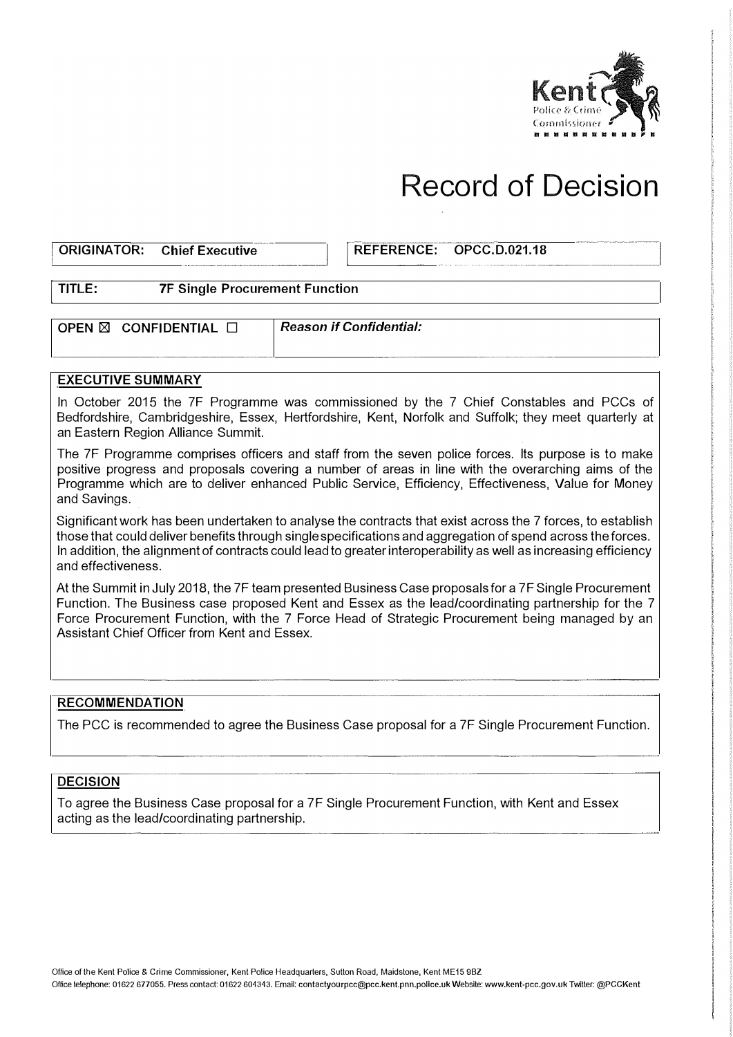

# **Record of Decision**

#### *<u>ORIGINATOR: Chief Executive</u>*

 $\sqrt{\text{REFERENCE: } OPCC}$ **\_\_\_ OPCC.D.021.18**

**I TITLE: 7F Single Procurement Function** 

**OPEN ⊠ CONFIDENTIAL □ Reason if Confidential:** 

### **EXECUTIVE SUMMARY**

In October 2015 the 7F Programme was commissioned by the 7 Chief Constables and PCCs of Bedfordshire, Cambridgeshire, Essex, Hertfordshire, Kent, Norfolk and Suffolk; they meet quarterly at an Eastern Region Alliance Summit.

The 7F Programme comprises officers and staff from the seven police forces. Its purpose is to make positive progress and proposals covering a number of areas in line with the overarching aims of the Programme which are to deliver enhanced Public Service, Efficiency, Effectiveness, Value for Money and Savings.

Significant work has been undertaken to analyse the contracts that exist across the 7 forces, to establish those that could deliver benefits through singlespecifications and aggregation of spend across the forces. In addition, the alignment of contracts could lead to greaterinteroperability as well as increasing efficiency and effectiveness.

At the Summit in July 2018, the 7F team presented Business Case proposals for a 7F Single Procurement Function. The Business case proposed Kent and Essex as the lead/coordinating partnership for the 7 Force Procurement Function, with the 7 Force Head of Strategic Procurement being managed by an Assistant Chief Officer from Kent and Essex.

### **RECOMMENDATION**

The PCC is recommended to agree the Business Case proposal for a 7F Single Procurement Function.

## **DECISION**

To agree the Business Case proposal for a 7F Single Procurement Function, with Kent and Essex acting as the lead/coordinating partnership.

Office of the Kent Police & Crime Commissioner, Kent Police Headquarters, Sutton Road, Maidstone, Kent ME15 9BZ

Office telephone: 01622 677055. Press contact: 01622 604343. Email: contactyourpcc@pcc.kent.pnn.police.uk Website: www.kent-pcc.gov.uk Twitter: @PCCKent